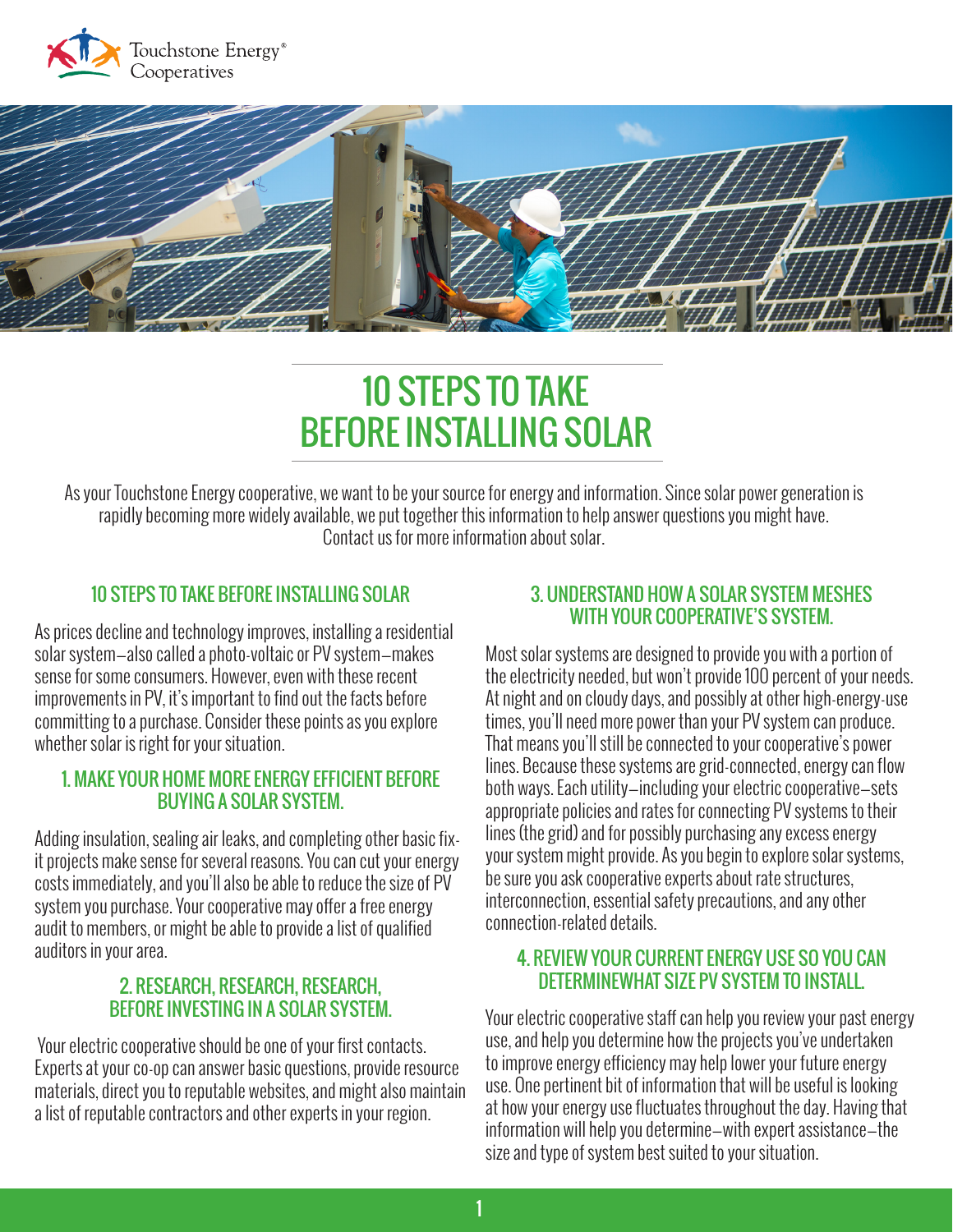



# 10 STEPS TO TAKE BEFORE INSTALLING SOLAR

As your Touchstone Energy cooperative, we want to be your source for energy and information. Since solar power generation is rapidly becoming more widely available, we put together this information to help answer questions you might have. Contact us for more information about solar.

## 10 STEPS TO TAKE BEFORE INSTALLING SOLAR

As prices decline and technology improves, installing a residential solar system—also called a photo-voltaic or PV system—makes sense for some consumers. However, even with these recent improvements in PV, it's important to find out the facts before committing to a purchase. Consider these points as you explore whether solar is right for your situation.

#### 1. MAKE YOUR HOME MORE ENERGY EFFICIENT BEFORE BUYING A SOLAR SYSTEM.

Adding insulation, sealing air leaks, and completing other basic fixit projects make sense for several reasons. You can cut your energy costs immediately, and you'll also be able to reduce the size of PV system you purchase. Your cooperative may offer a free energy audit to members, or might be able to provide a list of qualified auditors in your area.

#### 2. RESEARCH, RESEARCH, RESEARCH, BEFORE INVESTING IN A SOLAR SYSTEM.

 Your electric cooperative should be one of your first contacts. Experts at your co-op can answer basic questions, provide resource materials, direct you to reputable websites, and might also maintain a list of reputable contractors and other experts in your region.

### 3. UNDERSTAND HOW A SOLAR SYSTEM MESHES WITH YOUR COOPERATIVE'S SYSTEM.

Most solar systems are designed to provide you with a portion of the electricity needed, but won't provide 100 percent of your needs. At night and on cloudy days, and possibly at other high-energy-use times, you'll need more power than your PV system can produce. That means you'll still be connected to your cooperative's power lines. Because these systems are grid-connected, energy can flow both ways. Each utility—including your electric cooperative—sets appropriate policies and rates for connecting PV systems to their lines (the grid) and for possibly purchasing any excess energy your system might provide. As you begin to explore solar systems, be sure you ask cooperative experts about rate structures, interconnection, essential safety precautions, and any other connection-related details.

### 4. REVIEW YOUR CURRENT ENERGY USE SO YOU CAN DETERMINEWHAT SIZE PV SYSTEM TO INSTALL.

Your electric cooperative staff can help you review your past energy use, and help you determine how the projects you've undertaken to improve energy efficiency may help lower your future energy use. One pertinent bit of information that will be useful is looking at how your energy use fluctuates throughout the day. Having that information will help you determine—with expert assistance—the size and type of system best suited to your situation.